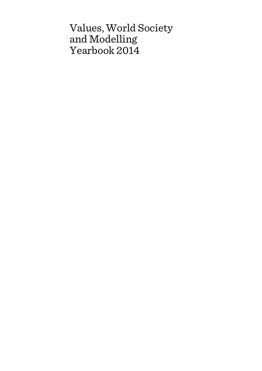## Values, World Society and Modelling Yearbook 2014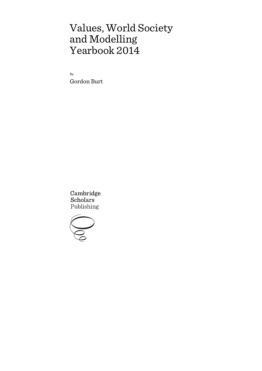# Values, World Society and Modelling Yearbook 2014

By Gordon Burt

Cambridge **Scholars** Publishing

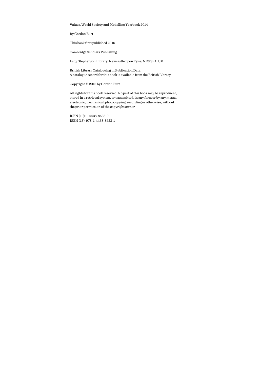Values, World Society and Modelling Yearbook 2014

By Gordon Burt

This book first published 2016

Cambridge Scholars Publishing

Lady Stephenson Library, Newcastle upon Tyne, NE6 2PA, UK

British Library Cataloguing in Publication Data A catalogue record for this book is available from the British Library

Copyright © 2016 by Gordon Burt

All rights for this book reserved. No part of this book may be reproduced, stored in a retrieval system, or transmitted, in any form or by any means, electronic, mechanical, photocopying, recording or otherwise, without the prior permission of the copyright owner.

ISBN (10): 1-4438-8533-9 ISBN (13): 978-1-4438-8533-1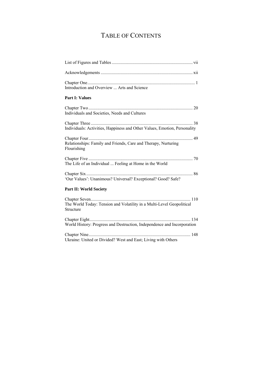## TABLE OF CONTENTS

| Introduction and Overview  Arts and Science                                        |
|------------------------------------------------------------------------------------|
| <b>Part I: Values</b>                                                              |
| Individuals and Societies, Needs and Cultures                                      |
| Individuals: Activities, Happiness and Other Values, Emotion, Personality          |
| Relationships: Family and Friends, Care and Therapy, Nurturing<br>Flourishing      |
| The Life of an Individual  Feeling at Home in the World                            |
| 'Our Values': Unanimous? Universal? Exceptional? Good? Safe?                       |
| <b>Part II: World Society</b>                                                      |
| The World Today: Tension and Volatility in a Multi-Level Geopolitical<br>Structure |
| World History: Progress and Destruction, Independence and Incorporation            |
| Ukraine: United or Divided? West and East; Living with Others                      |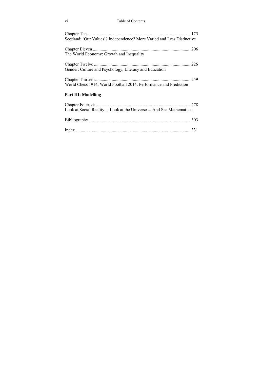### vi Table of Contents

| Scotland: 'Our Values'? Independence? More Varied and Less Distinctive |
|------------------------------------------------------------------------|
| The World Economy: Growth and Inequality                               |
| Gender: Culture and Psychology, Literacy and Education                 |
| World Chess 1914, World Football 2014: Performance and Prediction      |
| <b>Part III: Modelling</b>                                             |
| Look at Social Reality  Look at the Universe  And See Mathematics!     |
|                                                                        |
|                                                                        |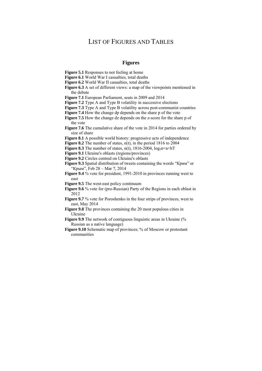### LIST OF FIGURES AND TABLES

### **Figures**

- **Figure 5.1** Responses to not feeling at home
- **Figure 6.1** World War I casualties, total deaths
- **Figure 6.2** World War II casualties, total deaths
- **Figure 6.3** A set of different views: a map of the viewpoints mentioned in the debate
- **Figure 7.1** European Parliament, seats in 2009 and 2014
- **Figure 7.2** Type A and Type B volatility in successive elections

**Figure 7.3** Type A and Type B volatility across post-communist countries

**Figure 7.4** How the change dp depends on the share p of the vote

**Figure 7.5** How the change dz depends on the z-score for the share p of the vote

- **Figure 7.6** The cumulative share of the vote in 2014 for parties ordered by size of share
- **Figure 8.1** A possible world history: progressive acts of independence
- **Figure 8.2** The number of states,  $n(t)$ , in the period 1816 to 2004
- **Figure 8.3** The number of states,  $n(t)$ , 1816-2004,  $log_2n=a+bT$
- **Figure 9.1** Ukraine's oblasts (regions/provinces)
- **Figure 9.2** Circles centred on Ukraine's oblasts

**Figure 9.3** Spatial distribution of tweets containing the words "Крим" or "Крым", Feb 28 – Mar 7, 2014

- **Figure 9.4** % vote for president, 1991-2010 in provinces running west to east
- **Figure 9.5** The west-east policy continuum
- **Figure 9.6** % vote for (pro-Russian) Party of the Regions in each oblast in 2012
- **Figure 9.7** % vote for Poroshenko in the four strips of provinces, west to east, May 2014
- **Figure 9.8** The provinces containing the 20 most populous cities in Ukraine
- **Figure 9.9** The network of contiguous linguistic areas in Ukraine  $\frac{6}{6}$ Russian as a native language)
- **Figure 9.10** Schematic map of provinces; % of Moscow or protestant communities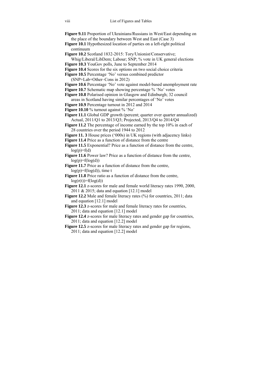- **Figure 9.11** Proportion of Ukrainians/Russians in West/East depending on the place of the boundary between West and East (Case 3)
- **Figure 10.1** Hypothesized location of parties on a left-right political continuum
- **Figure 10.2** Scotland 1832-2015: Tory/Unionist/Conservative; Whig/Liberal/LibDem; Labour; SNP; % vote in UK general elections
- **Figure 10.3** YouGov polls. June to September 2014
- Figure 10.4 Scores for the six options on two social choice criteria
- **Figure 10.5** Percentage 'No' versus combined predictor (SNP+Lab+Other–Cons in 2012)
- Figure 10.6 Percentage 'No' vote against model-based unemployment rate
- **Figure 10.7** Schematic map showing percentage % 'No' votes
- **Figure 10.8** Polarised opinion in Glasgow and Edinburgh; 32 council areas in Scotland having similar percentages of 'No' votes
- **Figure 10.9** Percentage turnout in 2012 and 2014
- **Figure 10.10** % turnout against % 'No'
- **Figure 11.1** Global GDP growth (percent; quarter over quarter annualized) Actual, 2011/Q1 to 2013/Q3; Projected, 2013/Q4 to 2014/Q4
- **Figure 11.2** The percentage of income earned by the top 10% in each of 28 countries over the period 1944 to 2012
- **Figure 11. 3** House prices ('000s) in UK regions (with adjacency links)
- **Figure 11.4** Price as a function of distance from the centre
- **Figure 11.5** Exponential? Price as a function of distance from the centre,  $log(p)=f(d)$
- **Figure 11.6** Power law? Price as a function of distance from the centre,  $log(p)=f(log(d))$
- **Figure 11.7** Price as a function of distance from the centre,  $log(p)=f(log(d))$ , time t
- Figure 11.8 Price ratio as a function of distance from the centre.  $log(r(t))=f(log(d))$
- **Figure 12.1** z-scores for male and female world literacy rates 1990, 2000, 2011 & 2015; data and equation [12.1] model
- **Figure 12.2** Male and female literacy rates (%) for countries, 2011; data and equation [12.1] model
- Figure 12.3 z-scores for male and female literacy rates for countries, 2011; data and equation [12.1] model
- Figure 12.4 z-scores for male literacy rates and gender gap for countries, 2011; data and equation [12.2] model
- **Figure 12.5** z-scores for male literacy rates and gender gap for regions, 2011; data and equation [12.2] model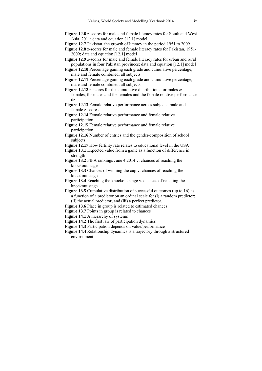- **Figure 12.6** z-scores for male and female literacy rates for South and West Asia, 2011; data and equation [12.1] model
- **Figure 12.7** Pakistan, the growth of literacy in the period 1951 to 2009
- **Figure 12.8** z-scores for male and female literacy rates for Pakistan, 1951- 2009; data and equation [12.1] model
- **Figure 12.9** z-scores for male and female literacy rates for urban and rural populations in four Pakistan provinces; data and equation [12.1] model
- **Figure 12.10** Percentage gaining each grade and cumulative percentage, male and female combined, all subjects
- **Figure 12.11** Percentage gaining each grade and cumulative percentage, male and female combined, all subjects
- **Figure 12.12** z-scores for the cumulative distributions for males & females, for males and for females and the female relative performance dz
- **Figure 12.13** Female relative performance across subjects: male and female z-scores
- **Figure 12.14** Female relative performance and female relative participation
- **Figure 12.15** Female relative performance and female relative participation
- **Figure 12.16** Number of entries and the gender-composition of school subjects
- **Figure 12.17** How fertility rate relates to educational level in the USA
- **Figure 13.1** Expected value from a game as a function of difference in strength
- **Figure 13.2** FIFA rankings June 4 2014 v. chances of reaching the knockout stage
- **Figure 13.3** Chances of winning the cup v. chances of reaching the knockout stage
- **Figure 13.4** Reaching the knockout stage v. chances of reaching the knockout stage
- **Figure 13.5** Cumulative distribution of successful outcomes (up to 16) as a function of a predictor on an ordinal scale for (i) a random predictor; (ii) the actual predictor; and (iii) a perfect predictor.
- **Figure 13.6** Place in group is related to estimated chances
- **Figure 13.7** Points in group is related to chances
- **Figure 14.1** A hierarchy of systems
- **Figure 14.2** The first law of participation dynamics
- **Figure 14.3** Participation depends on value/performance
- **Figure 14.4** Relationship dynamics is a trajectory through a structured environment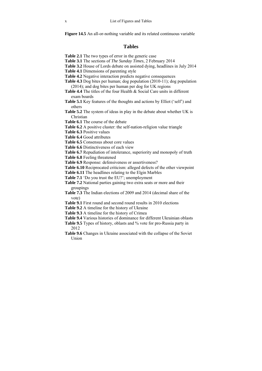**Figure 14.5** An all-or-nothing variable and its related continuous variable

### **Tables**

- **Table 2.1** The two types of error in the generic case
- **Table 3.1** The sections of *The Sunday Times*, 2 February 2014
- **Table 3.2** House of Lords debate on assisted dying, headlines in July 2014
- **Table 4.1** Dimensions of parenting style
- **Table 4.2** Negative interaction predicts negative consequences
- **Table 4.3** Dog bites per human; dog population (2010-11); dog population (2014); and dog bites per human per dog for UK regions
- **Table 4.4** The titles of the four Health & Social Care units in different exam boards
- **Table 5.1** Key features of the thoughts and actions by Elliot ('self') and others
- **Table 5.2** The system of ideas in play in the debate about whether UK is Christian
- **Table 6.1** The course of the debate
- **Table 6.2** A positive cluster: the self-nation-religion value triangle
- **Table 6.3** Positive values
- **Table 6.4** Good attributes
- **Table 6.5** Consensus about core values
- **Table 6.6** Distinctiveness of each view
- Table 6.7 Repudiation of intolerance, superiority and monopoly of truth
- **Table 6.8** Feeling threatened
- **Table 6.9** Response: defensiveness or assertiveness?
- **Table 6.10** Reciprocated criticism: alleged defects of the other viewpoint
- **Table 6.11** The headlines relating to the Elgin Marbles
- **Table 7.1** 'Do you trust the EU?'; unemployment
- **Table 7.2** National parties gaining two extra seats or more and their groupings
- **Table 7.3** The Indian elections of 2009 and 2014 (decimal share of the vote)
- **Table 9.1** First round and second round results in 2010 elections
- **Table 9.2** A timeline for the history of Ukraine
- **Table 9.3** A timeline for the history of Crimea
- **Table 9.4** Various histories of dominance for different Ukrainian oblasts
- **Table 9.5** Types of history, oblasts and % vote for pro-Russia party in 2012
- **Table 9.6** Changes in Ukraine associated with the collapse of the Soviet Union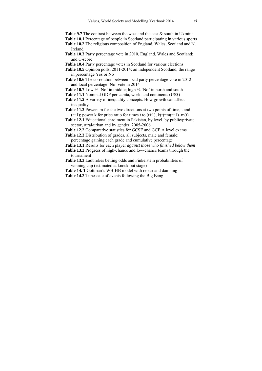- **Table 9.7** The contrast between the west and the east & south in Ukraine
- **Table 10.1** Percentage of people in Scotland participating in various sports
- **Table 10.2** The religious composition of England, Wales, Scotland and N. Ireland
- **Table 10.3** Party percentage vote in 2010, England, Wales and Scotland; and C-score
- **Table 10.4** Party percentage votes in Scotland for various elections
- **Table 10.5** Opinion polls, 2011-2014: an independent Scotland, the range in percentage Yes or No
- **Table 10.6** The correlation between local party percentage vote in 2012 and local percentage 'No' vote in 2014
- **Table 10.7** Low % 'No' in middle; high % 'No' in north and south
- **Table 11.1** Nominal GDP per capita, world and continents (US\$)
- **Table 11.2** A variety of inequality concepts. How growth can affect inequality
- **Table 11.3** Powers m for the two directions at two points of time, t and (t+1); power k for price ratio for times t to  $(t+1)$ ; k(t)=m(t+1)–m(t)
- **Table 12.1** Educational enrolment in Pakistan, by level, by public/private sector, rural/urban and by gender. 2005-2006.
- **Table 12.2** Comparative statistics for GCSE and GCE A level exams
- **Table 12.3** Distribution of grades, all subjects, male and female: percentage gaining each grade and cumulative percentage
- **Table 13.1** Results for each player *against those who finished below them*
- **Table 13.2** Progress of high-chance and low-chance teams through the tournament
- **Table 13.3** Ladbrokes betting odds and Finkelstein probabilities of winning cup (estimated at knock out stage)
- **Table 14. 1** Gottman's WB-HB model with repair and damping
- **Table 14.2** Timescale of events following the Big Bang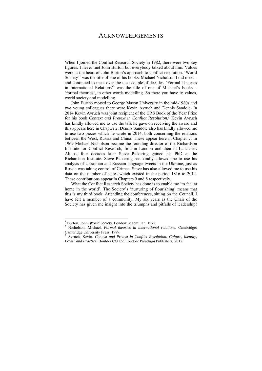### ACKNOWLEDGEMENTS

When I joined the Conflict Research Society in 1982, there were two key figures. I never met John Burton but everybody talked about him. Values were at the heart of John Burton's approach to conflict resolution. 'World Society<sup> $1$ </sup> was the title of one of his books. Michael Nicholson I did meet – and continued to meet over the next couple of decades. 'Formal Theories in International Relations<sup> $2$ </sup> was the title of one of Michael's books – 'formal theories', in other words modelling. So there you have it: values, world society and modelling.

John Burton moved to George Mason University in the mid-1980s and two young colleagues there were Kevin Avruch and Dennis Sandole. In 2014 Kevin Avruch was joint recipient of the CRS Book of the Year Prize for his book *Context and Pretext in Conflict Resolution*. 3 Kevin Avruch has kindly allowed me to use the talk he gave on receiving the award and this appears here in Chapter 2. Dennis Sandole also has kindly allowed me to use two pieces which he wrote in 2014, both concerning the relations between the West, Russia and China. These appear here in Chapter 7. In 1969 Michael Nicholson became the founding director of the Richardson Institute for Conflict Research, first in London and then in Lancaster. Almost four decades later Steve Pickering gained his PhD at the Richardson Institute. Steve Pickering has kindly allowed me to use his analysis of Ukrainian and Russian language tweets in the Ukraine, just as Russia was taking control of Crimea. Steve has also allowed me to use his data on the number of states which existed in the period 1816 to 2014. These contributions appear in Chapters 9 and 8 respectively.

What the Conflict Research Society has done is to enable me 'to feel at home in the world'. The Society's 'nurturing of flourishing' means that this is my third book. Attending the conferences, sitting on the Council, I have felt a member of a community. My six years as the Chair of the Society has given me insight into the triumphs and pitfalls of leadership!

<sup>&</sup>lt;sup>1</sup> Burton, John. *World Society*. London: Macmillan, 1972.

Nicholson, Michael. *Formal theories in international relations*. Cambridge: Cambridge University Press, 1989.

<sup>3</sup> Avruch, Kevin. *Context and Pretext in Conflict Resolution: Culture, Identity, Power and Practice.* Boulder CO and London: Paradigm Publishers. 2012.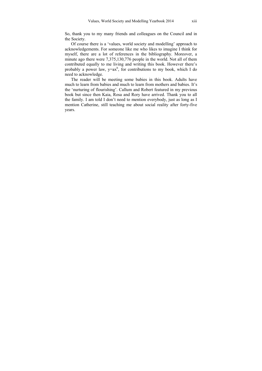So, thank you to my many friends and colleagues on the Council and in the Society.

Of course there is a 'values, world society and modelling' approach to acknowledgements. For someone like me who likes to imagine I think for myself, there are a lot of references in the bibliography. Moreover, a minute ago there were 7,375,130,776 people in the world. Not all of them contributed equally to me living and writing this book. However there's probably a power law,  $y=ax^b$ , for contributions to my book, which I do need to acknowledge.

The reader will be meeting some babies in this book. Adults have much to learn from babies and much to learn from mothers and babies. It's the 'nurturing of flourishing'. Callum and Robert featured in my previous book but since then Kaia, Rosa and Rory have arrived. Thank you to all the family. I am told I don't need to mention everybody, just as long as I mention Catherine, still teaching me about social reality after forty-five years.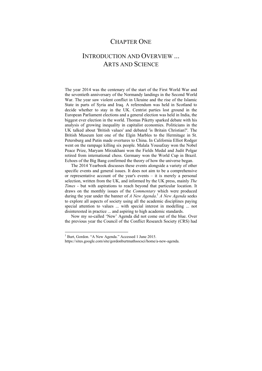### CHAPTER ONE

### INTRODUCTION AND OVERVIEW ... ARTS AND SCIENCE

The year 2014 was the centenary of the start of the First World War and the seventieth anniversary of the Normandy landings in the Second World War. The year saw violent conflict in Ukraine and the rise of the Islamic State in parts of Syria and Iraq. A referendum was held in Scotland to decide whether to stay in the UK. Centrist parties lost ground in the European Parliament elections and a general election was held in India, the biggest ever election in the world. Thomas Piketty sparked debate with his analysis of growing inequality in capitalist economies. Politicians in the UK talked about 'British values' and debated 'is Britain Christian?'. The British Museum lent one of the Elgin Marbles to the Hermitage in St. Petersburg and Putin made overtures to China. In California Elliot Rodger went on the rampage killing six people. Malala Yousafzay won the Nobel Peace Prize, Maryam Mirzakhani won the Fields Medal and Judit Polgar retired from international chess. Germany won the World Cup in Brazil. Echoes of the Big Bang confirmed the theory of how the universe began.

The 2014 Yearbook discusses these events alongside a variety of other specific events and general issues. It does not aim to be a comprehensive or representative account of the year's events – it is merely a personal selection, written from the UK, and informed by the UK press, mainly *The Times* - but with aspirations to reach beyond that particular location. It draws on the monthly issues of the *Commentary* which were produced during the year under the banner of *A New Agenda*. <sup>1</sup> *A New Agenda* seeks to explore all aspects of society using all the academic disciplines paying special attention to values ... with special interest in modelling ... not disinterested in practice ... and aspiring to high academic standards.

Now my so-called 'New' Agenda did not come out of the blue. Over the previous year the Council of the Conflict Research Society (CRS) had

 1 Burt, Gordon. "A New Agenda." Accessed 1 June 2015.

https://sites.google.com/site/gordonburtmathsocsci/home/a-new-agenda.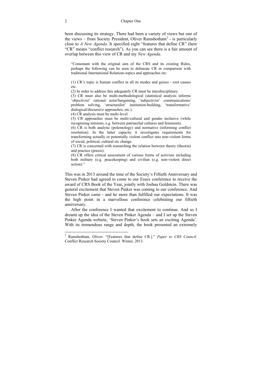been discussing its strategy. There had been a variety of views but one of the views – from Society President, Oliver Ramsbotham<sup>2</sup> - is particularly close to *A New Agenda*. It specified eight "features that define CR" (here "CR" means "conflict research"). As you can see there is a fair amount of overlap between this view of CR and my *New Agenda*.

"Consonant with the original aim of the CRS and its existing Rules, perhaps the following can be seen to delineate CR in comparison with traditional International Relations topics and approaches etc:

(1) CR's topic is human conflict in all its modes and guises - root causes etc.

(2) In order to address this adequately CR must be interdisciplinary.

(3) CR must also be multi-methodological (statistical analysis informs 'objectivist' rational actor/bargaining, 'subjectivist' communications/ problem solving, 'structuralist' institution-building, 'transformative' dialogical/discursive approaches, etc.).

(4) CR analysis must be multi-level.

(5) CR approaches must be multi-cultural and gender inclusive (while recognising tensions, e.g. between patriarchal cultures and feminism).

(6) CR is both analytic (polemology) and normative (informing conflict resolution). In the latter capacity it investigates requirements for transforming actually or potentially violent conflict into non-violent forms of social, political, cultural etc change.

(7) CR is concerned with researching the relation between theory (theoria) and practice (praxis).

(8) CR offers critical assessment of various forms of activism including both military (e.g. peacekeeping) and civilian (e.g. non-violent direct action)."

This was in 2013 around the time of the Society's Fiftieth Anniversary and Steven Pinker had agreed to come to our Essex conference to receive the award of CRS Book of the Year, jointly with Joshua Goldstein. There was general excitement that Steven Pinker was coming to our conference. And Steven Pinker came - and he more than fulfilled our expectations. It was the high point in a marvellous conference celebrating our fiftieth anniversary.

After the conference I wanted that excitement to continue. And so I dreamt up the idea of the Steven Pinker Agenda – and I set up the Steven Pinker Agenda website, 'Steven Pinker's book sets an exciting Agenda'. With its tremendous range and depth, the book presented an extremely

 2 Ramsbotham, Oliver. "[Features that define CR.]." *Paper to CRS Council*. Conflict Research Society Council. Winter, 2013.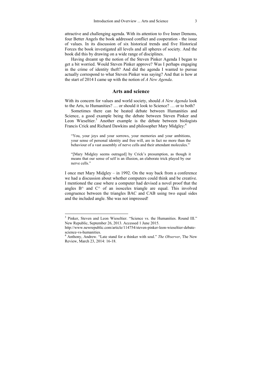attractive and challenging agenda. With its attention to five Inner Demons, four Better Angels the book addressed conflict and cooperation - the issue of values. In its discussion of six historical trends and five Historical Forces the book investigated all levels and all spheres of society. And the book did this by drawing on a wide range of disciplines.

Having dreamt up the notion of the Steven Pinker Agenda I began to get a bit worried. Would Steven Pinker approve? Was I perhaps engaging in the crime of identity theft? And did the agenda I wanted to pursue actually correspond to what Steven Pinker was saying? And that is how at the start of 2014 I came up with the notion of *A New Agenda*.

### **Arts and science**

With its concern for values and world society, should *A New Agenda* look to the Arts, to Humanities? … or should it look to Science? … or to both?

Sometimes there can be heated debate between Humanities and Science, a good example being the debate between Steven Pinker and Leon Wieseltier.<sup>3</sup> Another example is the debate between biologists Francis Crick and Richard Dawkins and philosopher Mary Midgley:<sup>4</sup>

"You, your joys and your sorrows, your memories and your ambitions, your sense of personal identity and free will, are in fact no more than the behaviour of a vast assembly of nerve cells and their attendant molecules."

"[Mary Midgley seems outraged] by Crick's presumption, as though it means that our sense of self is an illusion, an elaborate trick played by our nerve cells."

I once met Mary Midgley – in 1992. On the way back from a conference we had a discussion about whether computers could think and be creative. I mentioned the case where a computer had devised a novel proof that the angles  $B^{\wedge}$  and  $C^{\wedge}$  of an isosceles triangle are equal. This involved congruence between the triangles BAC and CAB using two equal sides and the included angle. She was not impressed!

<sup>3</sup> Pinker, Steven and Leon Wieseltier. "Science vs. the Humanities. Round III." New Republic, September 26, 2013. Accessed 1 June 2015.

http://www.newrepublic.com/article/114754/steven-pinker-leon-wieseltier-debatescience-vs-humanities.

<sup>4</sup> Anthony, Andrew. "Late stand for a thinker with soul." *The Observer*, The New Review, March 23, 2014: 16-18.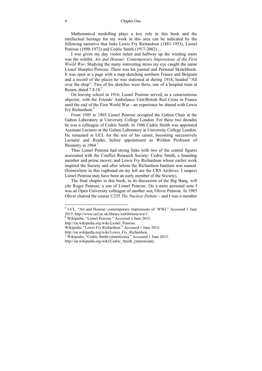Mathematical modelling plays a key role in this book and the intellectual heritage for my work in this area can be indicated by the following narrative that links Lewis Fry Richardson (1881-1953), Lionel Penrose (1898-1972) and Cedric Smith (1917-2002) ...

I was given my day visitor ticket and halfway up the winding stairs was the exhibit, *Art and Honour: Contemporary Impressions of the First World War*. Studying the many interesting items my eye caught the name Lionel Sharples Penrose. There was his journal and Personal Sketchbook. It was open at a page with a map sketching northern France and Belgium and a record of the places he was stationed at during 1918, headed "All over the shop". Two of his sketches were there, one of a hospital train at Rouen, dated  $7.8.18<sup>5</sup>$ 

On leaving school in 1916, Lionel Penrose served, as a conscientious objector, with the Friends' Ambulance Unit/British Red Cross in France until the end of the First World War - an experience he shared with Lewis Fry Richardson.<sup>6</sup>

From 1945 to 1965 Lionel Penrose occupied the Galton Chair at the Galton Laboratory at University College London. For these two decades he was a colleague of Cedric Smith. In 1946 Cedric Smith was appointed Assistant Lecturer at the Galton Laboratory at University College London. He remained at UCL for the rest of his career, becoming successively Lecturer and Reader, before appointment as Weldon Professor of Biometry in 1964.<sup>7</sup>

Thus Lionel Penrose had strong links with two of the central figures associated with the Conflict Research Society: Cedric Smith, a founding member and prime mover; and Lewis Fry Richardson whose earlier work inspired the Society and after whom the Richardson Institute was named. (Somewhere in this cupboard on my left are the CRS Archives. I suspect Lionel Penrose may have been an early member of the Society).

The final chapter in this book, in its discussion of the Big Bang, will cite Roger Penrose, a son of Lionel Penrose. On a more personal note I was an Open University colleague of another son, Oliver Penrose. In 1985 Oliver chaired the course U235 *The Nuclear Debate* – and I was a member

<sup>&</sup>lt;sup>5</sup> UCL. "Art and Honour: contemporary impressions of WWI." Accessed 1 June 2015. http://www.ucl.ac.uk/library/exhibitions/ww1/. 6

Wikipedia. "Lionel Penrose." Accessed 1 June 2015.

http://en.wikipedia.org/wiki/Lionel\_Penrose.

Wikipedia. "Lewis Fry Richardson." Accessed 1 June 2015.

http://en.wikipedia.org/wiki/Lewis Fry Richardson.

<sup>&</sup>lt;sup>7</sup> Wikipedia. "Cedric Smith (statistician)." Accessed 1 June 2015. http://en.wikipedia.org/wiki/Cedric\_Smith\_(statistician).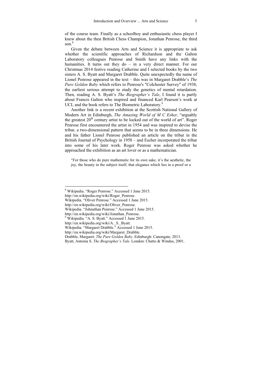of the course team. Finally as a schoolboy and enthusiastic chess player I knew about the then British Chess Champion, Jonathan Penrose, the third son $8$ 

Given the debate between Arts and Science it is appropriate to ask whether the scientific approaches of Richardson and the Galton Laboratory colleagues Penrose and Smith have any links with the humanities. It turns out they do – in a very direct manner. For our Christmas 2014 festive reading Catherine and I selected books by the two sisters A. S. Byatt and Margaret Drabble. Quite unexpectedly the name of Lionel Penrose appeared in the text – this was in Margaret Drabble's *The Pure Golden Baby* which refers to Penrose's "Colchester Survey" of 1938, the earliest serious attempt to study the genetics of mental retardation. Then, reading A. S. Byatt's *The Biographer's Tale*, I found it is partly about Francis Galton who inspired and financed Karl Pearson's work at UCL and the book refers to The Biometric Laboratory.<sup>9</sup>

Another link is a recent exhibition at the Scottish National Gallery of Modern Art in Edinburgh, *The Amazing World of M C Esher*, "arguably the greatest  $20<sup>th</sup>$  century artist to be locked out of the world of art". Roger Penrose first encountered the artist in 1954 and was inspired to devise the tribar, a two-dimensional pattern that seems to be in three dimensions. He and his father Lionel Penrose published an article on the tribar in the British Journal of Psychology in 1958 – and Escher incorporated the tribar into some of his later work. Roger Penrose was asked whether he approached the exhibition as an art lover or as a mathematician.

"For those who do pure mathematic for its own sake, it's the aesthetic, the joy, the beauty in the subject itself, that elegance which lies in a proof or a

http://en.wikipedia.org/wiki/Roger\_Penrose.

 8 Wikipedia. "Roger Penrose." Accessed 1 June 2015.

Wikipedia. "Oliver Penrose." Accessed 1 June 2015.

http://en.wikipedia.org/wiki/Oliver\_Penrose.

Wikipedia. "Johnathan Penrose." Accessed 1 June 2015.

http://en.wikipedia.org/wiki/Jonathan\_Penrose.

 $9$  Wikipedia. "A. S. Byatt." Accessed 1 June 2015.

http://en.wikipedia.org/wiki/A.\_S.\_Byatt.

Wikipedia. "Margaret Drabble." Accessed 1 June 2015.

http://en.wikipedia.org/wiki/Margaret\_Drabble.

Drabble, Margaret. *The Pure Golden Baby*. Edinburgh: Canongate, 2013.

Byatt, Antonia S. *The Biographer's Tale*. London: Chatto & Windus, 2001.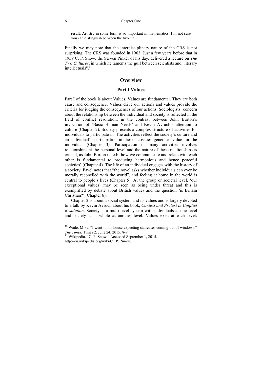#### 6 Chapter One

result. Artistry in some form is so important in mathematics. I'm not sure you can distinguish between the two."10

Finally we may note that the interdisciplinary nature of the CRS is not surprising. The CRS was founded in 1963. Just a few years before that in 1959 C. P. Snow, the Steven Pinker of his day, delivered a lecture on *The Two Cultures*, in which he laments the gulf between scientists and "literary intellectuals"<sup>11</sup>

### **Overview**

### **Part I Values**

Part I of the book is about Values. Values are fundamental. They are both cause and consequence. Values drive our actions and values provide the criteria for judging the consequences of our actions. Sociologists' concern about the relationship between the individual and society is reflected in the field of conflict resolution, in the contrast between John Burton's invocation of 'Basic Human Needs' and Kevin Avruch's attention to culture (Chapter 2). Society presents a complex structure of activities for individuals to participate in. The activities reflect the society's culture and an individual's participation in these activities generates value for the individual (Chapter 3). Participation in many activities involves relationships at the personal level and the nature of these relationships is crucial, as John Burton noted: 'how we communicate and relate with each other is fundamental to producing harmonious and hence peaceful societies' (Chapter 4). The life of an individual engages with the history of a society. Pavel notes that "the novel asks whether individuals can ever be morally reconciled with the world", and feeling at home in the world is central to people's lives (Chapter 5). At the group or societal level, 'our exceptional values' may be seen as being under threat and this is exemplified by debate about British values and the question 'is Britain Christian?' (Chapter 6).

Chapter 2 is about a social system and its values and is largely devoted to a talk by Kevin Avruch about his book, *Context and Pretext in Conflict Resolution*. Society is a multi-level system with individuals at one level and society as a whole at another level. Values exist at each level:

 $10$  Wade, Mike. "I went to his house expecting staircases coming out of windows." *The Times*, Times 2. June 24, 2015: 8-9.<br><sup>11</sup> Wikipedia. "C. P. Snow." Accessed September 1, 2015.

http://en.wikipedia.org/wiki/C. P. Snow.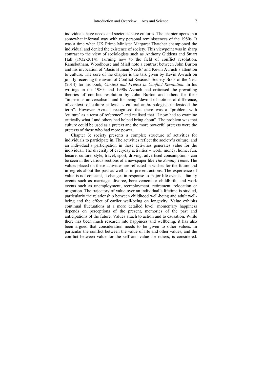individuals have needs and societies have cultures. The chapter opens in a somewhat informal way with my personal reminiscences of the 1980s. It was a time when UK Prime Minister Margaret Thatcher championed the individual and denied the existence of society. This viewpoint was in sharp contrast to the view of sociologists such as Anthony Giddens and Stuart Hall (1932-2014). Turning now to the field of conflict resolution, Ramsbotham, Woodhouse and Miall note a contrast between John Burton and his invocation of 'Basic Human Needs' and Kevin Avruch's attention to culture. The core of the chapter is the talk given by Kevin Avruch on jointly receiving the award of Conflict Research Society Book of the Year (2014) for his book, *Context and Pretext in Conflict Resolution*. In his writings in the 1980s and 1990s Avruch had criticised the prevailing theories of conflict resolution by John Burton and others for their "imperious universalism" and for being "devoid of notions of difference, of context, of culture at least as cultural anthropologists understood the term". However Avruch recognised that there was a "problem with 'culture' as a term of reference" and realised that "I now had to examine critically what I and others had helped bring about". The problem was that culture could be used as a pretext and the more powerful pretexts were the pretexts of those who had more power.

Chapter 3: society presents a complex structure of activities for individuals to participate in. The activities reflect the society's culture; and an individual's participation in these activities generates value for the individual. The diversity of everyday activities – work, money, home, fun, leisure, culture, style, travel, sport, driving, advertised consumption - can be seen in the various sections of a newspaper like *The Sunday Times*. The values placed on these activities are reflected in wishes for the future and in regrets about the past as well as in present actions. The experience of value is not constant, it changes in response to major life events – family events such as marriage, divorce, bereavement or childbirth; and work events such as unemployment, reemployment, retirement, relocation or migration. The trajectory of value over an individual's lifetime is studied, particularly the relationship between childhood well-being and adult wellbeing and the effect of earlier well-being on longevity. Value exhibits continual fluctuations at a more detailed level: momentary happiness depends on perceptions of the present, memories of the past and anticipations of the future. Values attach to action and to causation. While there has been much research into happiness and wellbeing, it has also been argued that consideration needs to be given to other values. In particular the conflict between the value of life and other values, and the conflict between value for the self and value for others, is considered.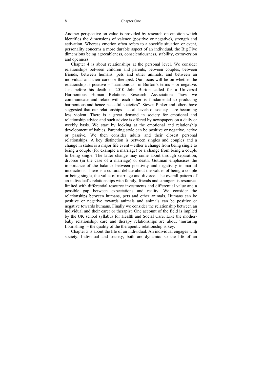Another perspective on value is provided by research on emotion which identifies the dimensions of valence (positive or negative), strength and activation. Whereas emotion often refers to a specific situation or event, personality concerns a more durable aspect of an individual, the Big Five dimensions being agreeableness, conscientiousness, stability, extraversion and openness.

Chapter 4 is about relationships at the personal level. We consider relationships between children and parents, between couples, between friends, between humans, pets and other animals, and between an individual and their carer or therapist. Our focus will be on whether the relationship is positive – "harmonious" in Burton's terms – or negative. Just before his death in 2010 John Burton called for a Universal Harmonious Human Relations Research Association: "how we communicate and relate with each other is fundamental to producing harmonious and hence peaceful societies". Steven Pinker and others have suggested that our relationships – at all levels of society - are becoming less violent. There is a great demand in society for emotional and relationship advice and such advice is offered by newspapers on a daily or weekly basis. We start by looking at the emotional and relationship development of babies. Parenting style can be positive or negative, active or passive. We then consider adults and their closest personal relationships. A key distinction is between singles and couples and a change in status is a major life event – either a change from being single to being a couple (for example a marriage) or a change from being a couple to being single. The latter change may come about through separation, divorce (in the case of a marriage) or death. Gottman emphasises the importance of the balance between positivity and negativity in marital interactions. There is a cultural debate about the values of being a couple or being single, the value of marriage and divorce. The overall pattern of an individual's relationships with family, friends and strangers is resourcelimited with differential resource investments and differential value and a possible gap between expectations and reality. We consider the relationships between humans, pets and other animals. Humans can be positive or negative towards animals and animals can be positive or negative towards humans. Finally we consider the relationship between an individual and their carer or therapist. One account of the field is implied by the UK school syllabus for Health and Social Care. Like the motherbaby relationship, care and therapy relationships are about 'nurturing flourishing' – the quality of the therapeutic relationship is key.

Chapter 5 is about the life of an individual. An individual engages with society. Individual and society, both are dynamic: so the life of an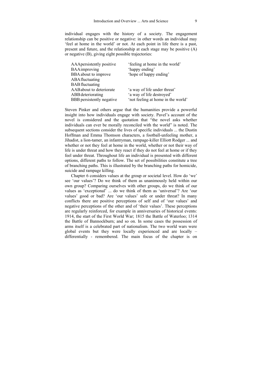individual engages with the history of a society. The engagement relationship can be positive or negative: in other words an individual may 'feel at home in the world' or not. At each point in life there is a past, present and future, and the relationship at each stage may be positive (A) or negative (B), giving eight possible trajectories:

| AAA persistently positive | 'feeling at home in the world'     |
|---------------------------|------------------------------------|
| BAAimproving              | 'happy ending'                     |
| BBA about to improve      | 'hope of happy ending'             |
| ABA fluctuating           |                                    |
| <b>BAB</b> fluctuating    |                                    |
| AABabout to deteriorate   | 'a way of life under threat'       |
| ABB deteriorating         | 'a way of life destroyed'          |
| BBB persistently negative | 'not feeling at home in the world' |

Steven Pinker and others argue that the humanities provide a powerful insight into how individuals engage with society. Pavel's account of the novel is considered and the quotation that "the novel asks whether individuals can ever be morally reconciled with the world" is noted. The subsequent sections consider the lives of specific individuals ... the Dustin Hoffman and Emma Thomson characters, a football-unfeeling mother, a Jihadist, a lion-tamer, an infantryman, rampage-killer Elliott Rodger ... and whether or not they feel at home in the world, whether or not their way of life is under threat and how they react if they do not feel at home or if they feel under threat. Throughout life an individual is presented with different options, different paths to follow. The set of possibilities constitute a tree of branching paths. This is illustrated by the branching paths for homicide, suicide and rampage killing.

Chapter 6 considers values at the group or societal level. How do 'we' see 'our values'? Do we think of them as unanimously held within our own group? Comparing ourselves with other groups, do we think of our values as 'exceptional' ... do we think of them as 'universal'? Are 'our values' good or bad? Are 'our values' safe or under threat? In many conflicts there are positive perceptions of self and of 'our values' and negative perceptions of the other and of 'their values'. These perceptions are regularly reinforced, for example in anniversaries of historical events: 1914, the start of the First World War; 1815 the Battle of Waterloo; 1314 the Battle of Bannockburn; and so on. In some cases the possession of arms itself is a celebrated part of nationalism. The two world wars were global events but they were locally experienced and are locally – differentially - remembered. The main focus of the chapter is on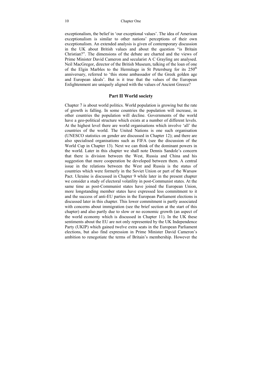exceptionalism, the belief in 'our exceptional values'. The idea of American exceptionalism is similar to other nations' perceptions of their own exceptionalism. An extended analysis is given of contemporary discussion in the UK about British values and about the question "is Britain Christian?". The dimensions of the debate are charted and the views of Prime Minister David Cameron and secularist A C Grayling are analysed. Neil MacGregor, director of the British Museum, talking of the loan of one of the Elgin Marbles to the Hermitage in St Petersburg for its  $250<sup>th</sup>$ anniversary, referred to 'this stone ambassador of the Greek golden age and European ideals'. But is it true that the values of the European Enlightenment are uniquely aligned with the values of Ancient Greece?

#### **Part II World society**

Chapter 7 is about world politics. World population is growing but the rate of growth is falling. In some countries the population will increase, in other countries the population will decline. Governments of the world have a geo-political structure which exists at a number of different levels. At the highest level there are world organisations which involve 'all' the countries of the world. The United Nations is one such organisation (UNESCO statistics on gender are discussed in Chapter 12); and there are also specialised organisations such as FIFA (see the discussion of the World Cup in Chapter 13). Next we can think of the dominant powers in the world. Later in this chapter we shall note Dennis Sandole's concern that there is division between the West, Russia and China and his suggestion that more cooperation be developed between them. A central issue in the relations between the West and Russia is the status of countries which were formerly in the Soviet Union or part of the Warsaw Pact. Ukraine is discussed in Chapter 9 while later in the present chapter we consider a study of electoral volatility in post-Communist states. At the same time as post-Communist states have joined the European Union, more longstanding member states have expressed less commitment to it and the success of anti-EU parties in the European Parliament elections is discussed later in this chapter. This lower commitment is partly associated with concerns about immigration (see the brief section at the start of this chapter) and also partly due to slow or no economic growth (an aspect of the world economy which is discussed in Chapter 11). In the UK these sentiments about the EU are not only represented by the UK Independence Party (UKIP) which gained twelve extra seats in the European Parliament elections, but also find expression in Prime Minister David Cameron's ambition to renegotiate the terms of Britain's membership. However the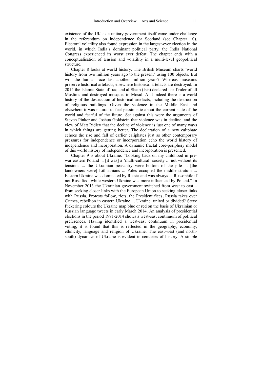existence of the UK as a unitary government itself came under challenge in the referendum on independence for Scotland (see Chapter 10). Electoral volatility also found expression in the largest-ever election in the world, in which India's dominant political party, the India National Congress experienced its worst ever defeat. The chapter ends with a conceptualisation of tension and volatility in a multi-level geopolitical structure.

Chapter 8 looks at world history. The British Museum charts 'world history from two million years ago to the present' using 100 objects. But will the human race last another million years? Whereas museums preserve historical artefacts, elsewhere historical artefacts are destroyed. In 2014 the Islamic State of Iraq and al-Sham (Isis) declared itself ruler of all Muslims and destroyed mosques in Mosul. And indeed there is a world history of the destruction of historical artefacts, including the destruction of religious buildings. Given the violence in the Middle East and elsewhere it was natural to feel pessimistic about the current state of the world and fearful of the future. Set against this were the arguments of Steven Pinker and Joshua Goldstein that violence was in decline, and the view of Matt Ridley that the decline of violence is just one of many ways in which things are getting better. The declaration of a new caliphate echoes the rise and fall of earlier caliphates just as other contemporary pressures for independence or incorporation echo the world history of independence and incorporation. A dynamic fractal core-periphery model of this world history of independence and incorporation is presented.

Chapter 9 is about Ukraine. "Looking back on my childhood in prewar eastern Poland ... [it was] a 'multi-cultural' society ... not without its tensions ... the Ukrainian peasantry were bottom of the pile ... [the landowners were] Lithuanians ... Poles occupied the middle stratum ... Eastern Ukraine was dominated by Russia and was always ... Russophile if not Russified, while western Ukraine was more influenced by Poland." In November 2013 the Ukrainian government switched from west to east – from seeking closer links with the European Union to seeking closer links with Russia. Protests follow, riots, the President flees, Russia takes over Crimea, rebellion in eastern Ukraine ... Ukraine: united or divided? Steve Pickering colours the Ukraine map blue or red on the basis of Ukrainian or Russian language tweets in early March 2014. An analysis of presidential elections in the period 1991-2014 shows a west-east continuum of political preferences. Having identified a west-east continuum in presidential voting, it is found that this is reflected in the geography, economy, ethnicity, language and religion of Ukraine. The east-west (and northsouth) dynamics of Ukraine is evident in centuries of history. A simple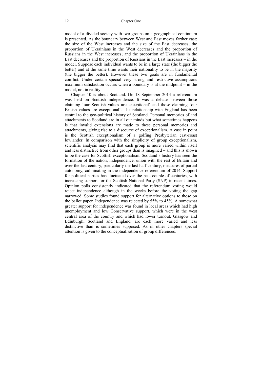model of a divided society with two groups on a geographical continuum is presented. As the boundary between West and East moves farther east: the size of the West increases and the size of the East decreases; the proportion of Ukrainians in the West decreases and the proportion of Russians in the West increases; and the proportion of Ukrainians in the East decreases and the proportion of Russians in the East increases – in the model. Suppose each individual wants to be in a large state (the bigger the better) and at the same time wants their nationality to be in the majority (the bigger the better). However these two goals are in fundamental conflict. Under certain special very strong and restrictive assumptions maximum satisfaction occurs when a boundary is at the midpoint – in the model, not in reality.

Chapter 10 is about Scotland. On 18 September 2014 a referendum was held on Scottish independence. It was a debate between those claiming 'our Scottish values are exceptional' and those claiming 'our British values are exceptional'. The relationship with England has been central to the geo-political history of Scotland. Personal memories of and attachments to Scotland are in all our minds but what sometimes happens is that invalid extensions are made to these personal memories and attachments, giving rise to a discourse of exceptionalism. A case in point is the Scottish exceptionalism of a golfing Presbyterian east-coast lowlander. In comparison with the simplicity of group exceptionalism, scientific analysis may find that each group is more varied within itself and less distinctive from other groups than is imagined – and this is shown to be the case for Scottish exceptionalism. Scotland's history has seen the formation of the nation, independence, union with the rest of Britain and over the last century, particularly the last half-century, measures of partial autonomy, culminating in the independence referendum of 2014. Support for political parties has fluctuated over the past couple of centuries, with increasing support for the Scottish National Party (SNP) in recent times. Opinion polls consistently indicated that the referendum voting would reject independence although in the weeks before the voting the gap narrowed. Some studies found support for alternative options to those on the ballot paper. Independence was rejected by 55% to 45%. A somewhat greater support for independence was found in local areas which had high unemployment and low Conservative support, which were in the west central area of the country and which had lower turnout. Glasgow and Edinburgh, Scotland and England, are each more varied and less distinctive than is sometimes supposed. As in other chapters special attention is given to the conceptualisation of group differences.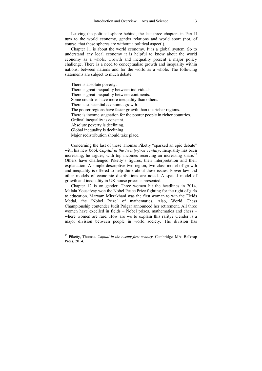Leaving the political sphere behind, the last three chapters in Part II turn to the world economy, gender relations and world sport (not, of course, that these spheres are without a political aspect!).

Chapter 11 is about the world economy. It is a global system. So to understand any local economy it is helpful to know about the world economy as a whole. Growth and inequality present a major policy challenge. There is a need to conceptualise growth and inequality within nations, between nations and for the world as a whole. The following statements are subject to much debate.

There is absolute poverty. There is great inequality between individuals. There is great inequality between continents. Some countries have more inequality than others. There is substantial economic growth. The poorer regions have faster growth than the richer regions. There is income stagnation for the poorer people in richer countries. Ordinal inequality is constant. Absolute poverty is declining. Global inequality is declining. Major redistribution should take place.

Concerning the last of these Thomas Piketty "sparked an epic debate" with his new book *Capital in the twenty-first century*. Inequality has been increasing, he argues, with top incomes receiving an increasing share.<sup>12</sup> Others have challenged Piketty's figures, their interpretation and their explanation. A simple descriptive two-region, two-class model of growth and inequality is offered to help think about these issues. Power law and other models of economic distributions are noted. A spatial model of growth and inequality in UK house prices is presented.

Chapter 12 is on gender. Three women hit the headlines in 2014. Malala Yousafzay won the Nobel Peace Prize fighting for the right of girls to education. Maryam Mirzakhani was the first woman to win the Fields Medal, the 'Nobel Prize' of mathematics. Also, World Chess Championship contender Judit Polgar announced her retirement. All three women have excelled in fields – Nobel prizes, mathematics and chess – where women are rare. How are we to explain this rarity? Gender is a major division between people in world society. The division has

<sup>12</sup> Piketty, Thomas. *Capital in the twenty-first century*. Cambridge, MA: Belknap Press, 2014.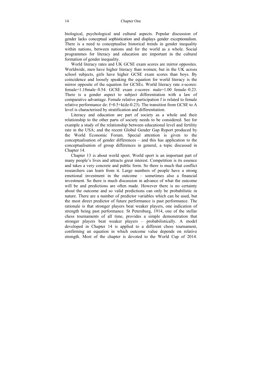biological, psychological and cultural aspects. Popular discussion of gender lacks conceptual sophistication and displays gender exceptionalism. There is a need to conceptualise historical trends in gender inequality within nations, between nations and for the world as a whole. Social programmes for literacy and education are important in the cultural formation of gender inequality.

World literacy rates and UK GCSE exam scores are mirror opposites. Worldwide, men have higher literacy than women; but in the UK across school subjects, girls have higher GCSE exam scores than boys. By coincidence and loosely speaking the equation for world literacy is the mirror opposite of the equation for GCSEs. World literacy rate z-scores: female=1.18male–0.54. GCSE exam z-scores: male=1.00 female–0.23. There is a gender aspect to subject differentiation with a law of comparative advantage. Female relative participation f is related to female relative performance dz:  $f=0.5+k(dz-0.23)$ . The transition from GCSE to A level is characterised by stratification and differentiation.

Literacy and education are part of society as a whole and their relationship to the other parts of society needs to be considered. See for example a study of the relationship between educational level and fertility rate in the USA; and the recent Global Gender Gap Report produced by the World Economic Forum. Special attention is given to the conceptualisation of gender differences – and this has application to the conceptualisation of group differences in general, a topic discussed in Chapter 14.

Chapter 13 is about world sport. World sport is an important part of many people's lives and attracts great interest. Competition is its essence and takes a very concrete and public form. So there is much that conflict researchers can learn from it. Large numbers of people have a strong emotional investment in the outcome – sometimes also a financial investment. So there is much discussion in advance of what the outcome will be and predictions are often made. However there is no certainty about the outcome and so valid predictions can only be probabilistic in nature. There are a number of predictor variables which can be used, but the most direct predictor of future performance is past performance. The rationale is that stronger players beat weaker players, one indication of strength being past performance. St Petersburg, 1914, one of the stellar chess tournaments of all time, provides a simple demonstration that stronger players beat weaker players – probabilistically. A model developed in Chapter 14 is applied to a different chess tournament, confirming an equation in which outcome value depends on relative strength. Most of the chapter is devoted to the World Cup of 2014.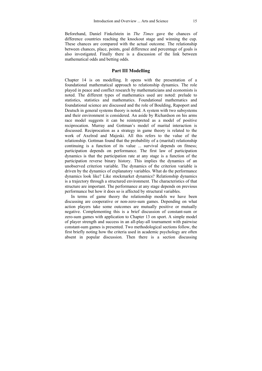Beforehand, Daniel Finkelstein in *The Times* gave the chances of difference countries reaching the knockout stage and winning the cup. These chances are compared with the actual outcome. The relationship between chances, place, points, goal difference and percentage of goals is also investigated. Finally there is a discussion of the link between mathematical odds and betting odds.

### **Part III Modelling**

Chapter 14 is on modelling. It opens with the presentation of a foundational mathematical approach to relationship dynamics. The role played in peace and conflict research by mathematicians and economists is noted. The different types of mathematics used are noted: prelude to statistics, statistics and mathematics. Foundational mathematics and foundational science are discussed and the role of Boulding, Rapoport and Deutsch in general systems theory is noted. A system with two subsystems and their environment is considered. An aside by Richardson on his arms race model suggests it can be reinterpreted as a model of positive reciprocation. Murray and Gottman's model of marital interaction is discussed. Reciprocation as a strategy in game theory is related to the work of Axelrod and Majeski. All this refers to the value of the relationship. Gottman found that the probability of a (marital) relationship continuing is a function of its value ... survival depends on fitness; participation depends on performance. The first law of participation dynamics is that the participation rate at any stage is a function of the participation reverse binary history. This implies the dynamics of an unobserved criterion variable. The dynamics of the criterion variable is driven by the dynamics of explanatory variables. What do the performance dynamics look like? Like stockmarket dynamics? Relationship dynamics is a trajectory through a structured environment. The characteristics of that structure are important. The performance at any stage depends on previous performance but how it does so is affected by structural variables.

In terms of game theory the relationship models we have been discussing are cooperative or non-zero-sum games. Depending on what action players take some outcomes are mutually positive or mutually negative. Complementing this is a brief discussion of constant-sum or zero-sum games with application to Chapter 13 on sport. A simple model of player strength and success in an all-play-all tournament with pairwise constant-sum games is presented. Two methodological sections follow, the first briefly noting how the criteria used in academic psychology are often absent in popular discussion. Then there is a section discussing